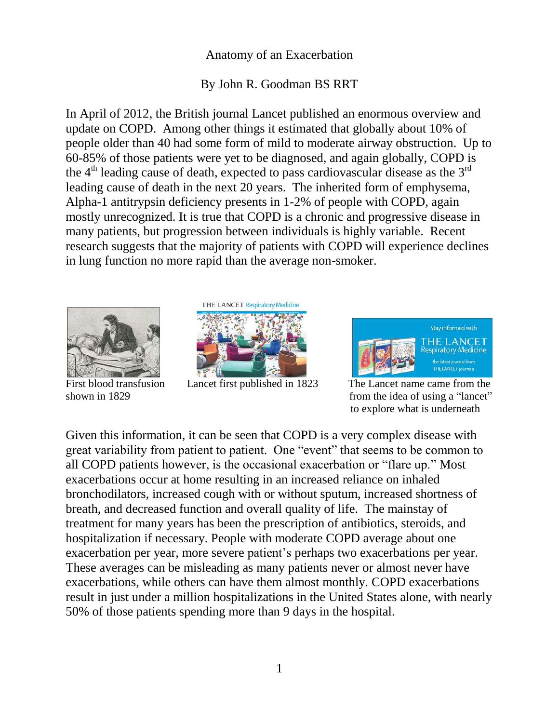## Anatomy of an Exacerbation

## By John R. Goodman BS RRT

In April of 2012, the British journal Lancet published an enormous overview and update on COPD. Among other things it estimated that globally about 10% of people older than 40 had some form of mild to moderate airway obstruction. Up to 60-85% of those patients were yet to be diagnosed, and again globally, COPD is the  $4<sup>th</sup>$  leading cause of death, expected to pass cardiovascular disease as the  $3<sup>rd</sup>$ leading cause of death in the next 20 years. The inherited form of emphysema, Alpha-1 antitrypsin deficiency presents in 1-2% of people with COPD, again mostly unrecognized. It is true that COPD is a chronic and progressive disease in many patients, but progression between individuals is highly variable. Recent research suggests that the majority of patients with COPD will experience declines in lung function no more rapid than the average non-smoker.





First blood transfusion Lancet first published in 1823 The Lancet name came from the



shown in 1829 from the idea of using a "lancet" to explore what is underneath

Given this information, it can be seen that COPD is a very complex disease with great variability from patient to patient. One "event" that seems to be common to all COPD patients however, is the occasional exacerbation or "flare up." Most exacerbations occur at home resulting in an increased reliance on inhaled bronchodilators, increased cough with or without sputum, increased shortness of breath, and decreased function and overall quality of life. The mainstay of treatment for many years has been the prescription of antibiotics, steroids, and hospitalization if necessary. People with moderate COPD average about one exacerbation per year, more severe patient's perhaps two exacerbations per year. These averages can be misleading as many patients never or almost never have exacerbations, while others can have them almost monthly. COPD exacerbations result in just under a million hospitalizations in the United States alone, with nearly 50% of those patients spending more than 9 days in the hospital.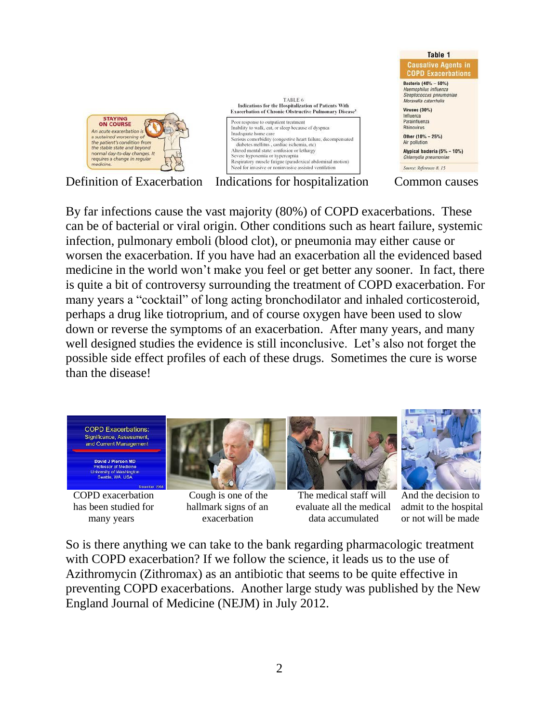

Definition of Exacerbation Indications for hospitalization Common causes

By far infections cause the vast majority (80%) of COPD exacerbations. These can be of bacterial or viral origin. Other conditions such as heart failure, systemic infection, pulmonary emboli (blood clot), or pneumonia may either cause or worsen the exacerbation. If you have had an exacerbation all the evidenced based medicine in the world won't make you feel or get better any sooner. In fact, there is quite a bit of controversy surrounding the treatment of COPD exacerbation. For many years a "cocktail" of long acting bronchodilator and inhaled corticosteroid, perhaps a drug like tiotroprium, and of course oxygen have been used to slow down or reverse the symptoms of an exacerbation. After many years, and many well designed studies the evidence is still inconclusive. Let's also not forget the possible side effect profiles of each of these drugs. Sometimes the cure is worse than the disease!







 COPD exacerbation Cough is one of the The medical staff will And the decision to has been studied for hallmark signs of an evaluate all the medical admit to the hospital many years exacerbation data accumulated or not will be made



So is there anything we can take to the bank regarding pharmacologic treatment with COPD exacerbation? If we follow the science, it leads us to the use of Azithromycin (Zithromax) as an antibiotic that seems to be quite effective in preventing COPD exacerbations. Another large study was published by the New England Journal of Medicine (NEJM) in July 2012.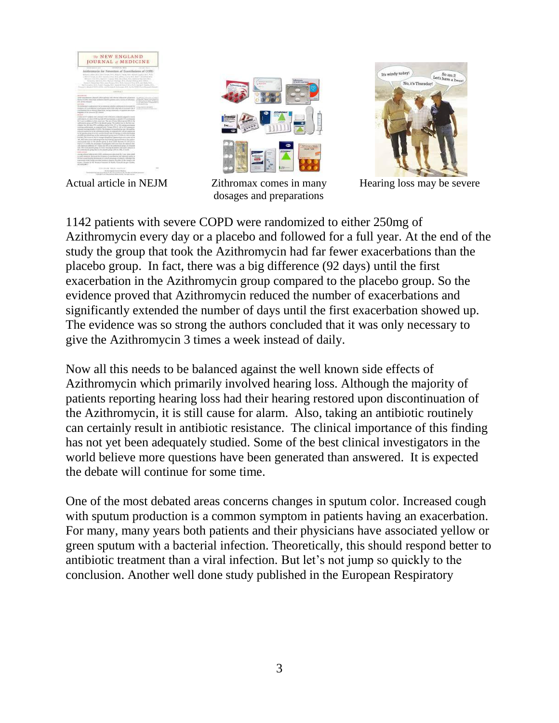

Actual article in NEJM



dosages and preparations



Zithromax comes in many Hearing loss may be severe

1142 patients with severe COPD were randomized to either 250mg of Azithromycin every day or a placebo and followed for a full year. At the end of the study the group that took the Azithromycin had far fewer exacerbations than the placebo group. In fact, there was a big difference (92 days) until the first exacerbation in the Azithromycin group compared to the placebo group. So the evidence proved that Azithromycin reduced the number of exacerbations and significantly extended the number of days until the first exacerbation showed up. The evidence was so strong the authors concluded that it was only necessary to give the Azithromycin 3 times a week instead of daily.

Now all this needs to be balanced against the well known side effects of Azithromycin which primarily involved hearing loss. Although the majority of patients reporting hearing loss had their hearing restored upon discontinuation of the Azithromycin, it is still cause for alarm. Also, taking an antibiotic routinely can certainly result in antibiotic resistance. The clinical importance of this finding has not yet been adequately studied. Some of the best clinical investigators in the world believe more questions have been generated than answered. It is expected the debate will continue for some time.

One of the most debated areas concerns changes in sputum color. Increased cough with sputum production is a common symptom in patients having an exacerbation. For many, many years both patients and their physicians have associated yellow or green sputum with a bacterial infection. Theoretically, this should respond better to antibiotic treatment than a viral infection. But let's not jump so quickly to the conclusion. Another well done study published in the European Respiratory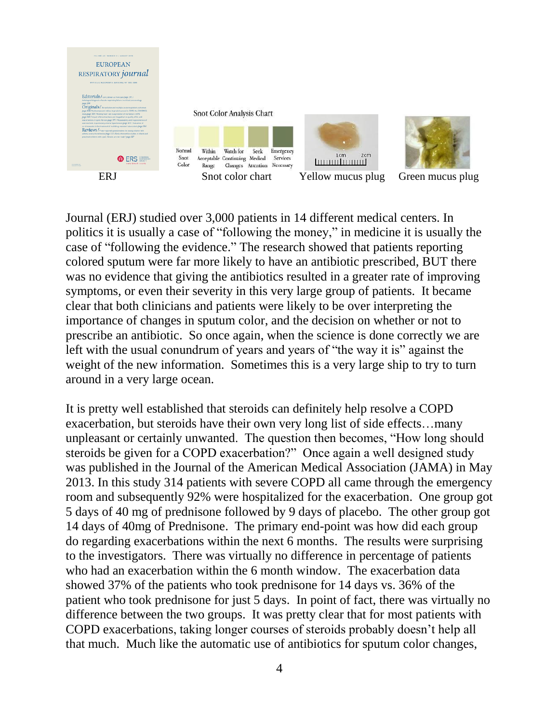

Journal (ERJ) studied over 3,000 patients in 14 different medical centers. In politics it is usually a case of "following the money," in medicine it is usually the case of "following the evidence." The research showed that patients reporting colored sputum were far more likely to have an antibiotic prescribed, BUT there was no evidence that giving the antibiotics resulted in a greater rate of improving symptoms, or even their severity in this very large group of patients. It became clear that both clinicians and patients were likely to be over interpreting the importance of changes in sputum color, and the decision on whether or not to prescribe an antibiotic. So once again, when the science is done correctly we are left with the usual conundrum of years and years of "the way it is" against the weight of the new information. Sometimes this is a very large ship to try to turn around in a very large ocean.

It is pretty well established that steroids can definitely help resolve a COPD exacerbation, but steroids have their own very long list of side effects…many unpleasant or certainly unwanted. The question then becomes, "How long should steroids be given for a COPD exacerbation?" Once again a well designed study was published in the Journal of the American Medical Association (JAMA) in May 2013. In this study 314 patients with severe COPD all came through the emergency room and subsequently 92% were hospitalized for the exacerbation. One group got 5 days of 40 mg of prednisone followed by 9 days of placebo. The other group got 14 days of 40mg of Prednisone. The primary end-point was how did each group do regarding exacerbations within the next 6 months. The results were surprising to the investigators. There was virtually no difference in percentage of patients who had an exacerbation within the 6 month window. The exacerbation data showed 37% of the patients who took prednisone for 14 days vs. 36% of the patient who took prednisone for just 5 days. In point of fact, there was virtually no difference between the two groups. It was pretty clear that for most patients with COPD exacerbations, taking longer courses of steroids probably doesn't help all that much. Much like the automatic use of antibiotics for sputum color changes,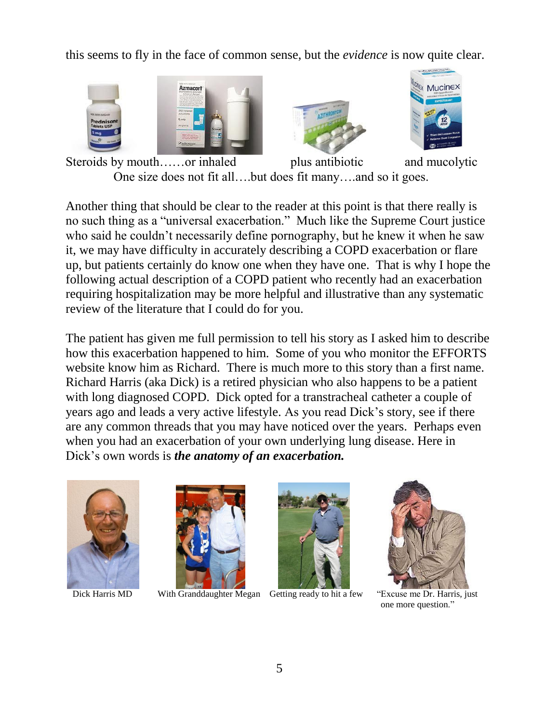this seems to fly in the face of common sense, but the *evidence* is now quite clear.







Steroids by mouth……or inhaled plus antibiotic and mucolytic One size does not fit all….but does fit many….and so it goes.

Another thing that should be clear to the reader at this point is that there really is no such thing as a "universal exacerbation." Much like the Supreme Court justice who said he couldn't necessarily define pornography, but he knew it when he saw it, we may have difficulty in accurately describing a COPD exacerbation or flare up, but patients certainly do know one when they have one. That is why I hope the following actual description of a COPD patient who recently had an exacerbation requiring hospitalization may be more helpful and illustrative than any systematic review of the literature that I could do for you.

The patient has given me full permission to tell his story as I asked him to describe how this exacerbation happened to him. Some of you who monitor the EFFORTS website know him as Richard. There is much more to this story than a first name. Richard Harris (aka Dick) is a retired physician who also happens to be a patient with long diagnosed COPD. Dick opted for a transtracheal catheter a couple of years ago and leads a very active lifestyle. As you read Dick's story, see if there are any common threads that you may have noticed over the years. Perhaps even when you had an exacerbation of your own underlying lung disease. Here in Dick's own words is *the anatomy of an exacerbation.*





Dick Harris MD With Granddaughter Megan Getting ready to hit a few "Excuse me Dr. Harris, just





one more question."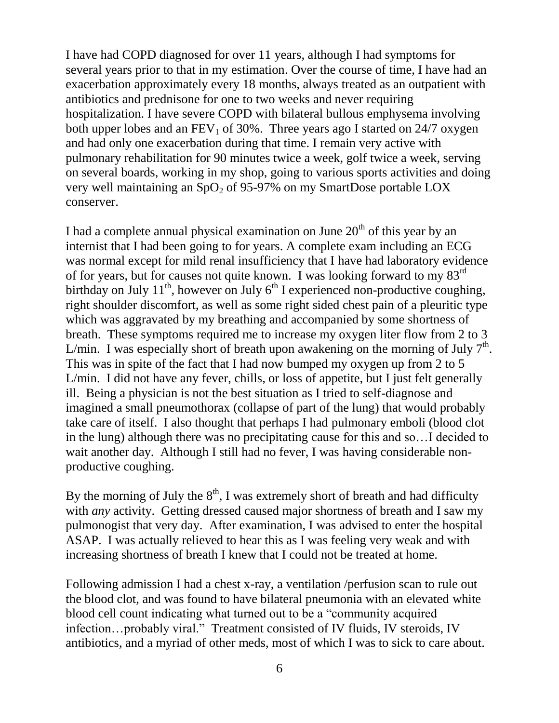I have had COPD diagnosed for over 11 years, although I had symptoms for several years prior to that in my estimation. Over the course of time, I have had an exacerbation approximately every 18 months, always treated as an outpatient with antibiotics and prednisone for one to two weeks and never requiring hospitalization. I have severe COPD with bilateral bullous emphysema involving both upper lobes and an  $FEV_1$  of 30%. Three years ago I started on 24/7 oxygen and had only one exacerbation during that time. I remain very active with pulmonary rehabilitation for 90 minutes twice a week, golf twice a week, serving on several boards, working in my shop, going to various sports activities and doing very well maintaining an  $SpO<sub>2</sub>$  of 95-97% on my SmartDose portable LOX conserver.

I had a complete annual physical examination on June  $20<sup>th</sup>$  of this year by an internist that I had been going to for years. A complete exam including an ECG was normal except for mild renal insufficiency that I have had laboratory evidence of for years, but for causes not quite known. I was looking forward to my 83rd birthday on July  $11^{th}$ , however on July  $6^{th}$  I experienced non-productive coughing, right shoulder discomfort, as well as some right sided chest pain of a pleuritic type which was aggravated by my breathing and accompanied by some shortness of breath. These symptoms required me to increase my oxygen liter flow from 2 to 3 L/min. I was especially short of breath upon awakening on the morning of July  $7<sup>th</sup>$ . This was in spite of the fact that I had now bumped my oxygen up from 2 to 5 L/min. I did not have any fever, chills, or loss of appetite, but I just felt generally ill. Being a physician is not the best situation as I tried to self-diagnose and imagined a small pneumothorax (collapse of part of the lung) that would probably take care of itself. I also thought that perhaps I had pulmonary emboli (blood clot in the lung) although there was no precipitating cause for this and so…I decided to wait another day. Although I still had no fever, I was having considerable nonproductive coughing.

By the morning of July the  $8<sup>th</sup>$ , I was extremely short of breath and had difficulty with *any* activity. Getting dressed caused major shortness of breath and I saw my pulmonogist that very day. After examination, I was advised to enter the hospital ASAP. I was actually relieved to hear this as I was feeling very weak and with increasing shortness of breath I knew that I could not be treated at home.

Following admission I had a chest x-ray, a ventilation /perfusion scan to rule out the blood clot, and was found to have bilateral pneumonia with an elevated white blood cell count indicating what turned out to be a "community acquired infection…probably viral." Treatment consisted of IV fluids, IV steroids, IV antibiotics, and a myriad of other meds, most of which I was to sick to care about.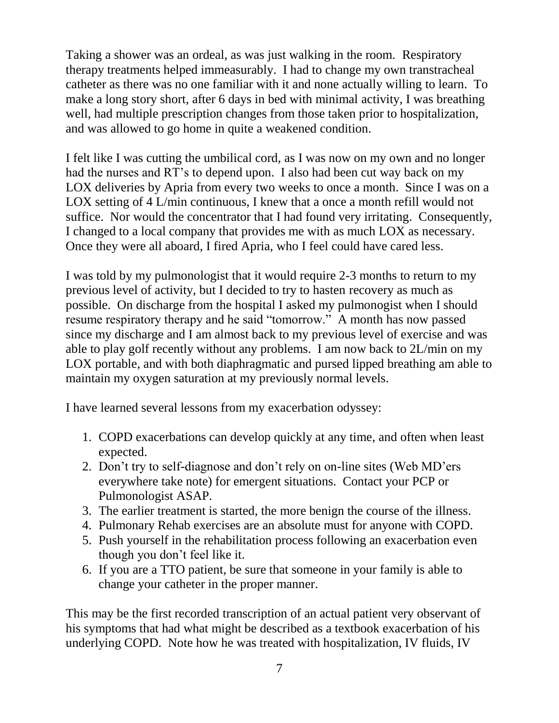Taking a shower was an ordeal, as was just walking in the room. Respiratory therapy treatments helped immeasurably. I had to change my own transtracheal catheter as there was no one familiar with it and none actually willing to learn. To make a long story short, after 6 days in bed with minimal activity, I was breathing well, had multiple prescription changes from those taken prior to hospitalization, and was allowed to go home in quite a weakened condition.

I felt like I was cutting the umbilical cord, as I was now on my own and no longer had the nurses and RT's to depend upon. I also had been cut way back on my LOX deliveries by Apria from every two weeks to once a month. Since I was on a LOX setting of 4 L/min continuous, I knew that a once a month refill would not suffice. Nor would the concentrator that I had found very irritating. Consequently, I changed to a local company that provides me with as much LOX as necessary. Once they were all aboard, I fired Apria, who I feel could have cared less.

I was told by my pulmonologist that it would require 2-3 months to return to my previous level of activity, but I decided to try to hasten recovery as much as possible. On discharge from the hospital I asked my pulmonogist when I should resume respiratory therapy and he said "tomorrow." A month has now passed since my discharge and I am almost back to my previous level of exercise and was able to play golf recently without any problems. I am now back to 2L/min on my LOX portable, and with both diaphragmatic and pursed lipped breathing am able to maintain my oxygen saturation at my previously normal levels.

I have learned several lessons from my exacerbation odyssey:

- 1. COPD exacerbations can develop quickly at any time, and often when least expected.
- 2. Don't try to self-diagnose and don't rely on on-line sites (Web MD'ers everywhere take note) for emergent situations. Contact your PCP or Pulmonologist ASAP.
- 3. The earlier treatment is started, the more benign the course of the illness.
- 4. Pulmonary Rehab exercises are an absolute must for anyone with COPD.
- 5. Push yourself in the rehabilitation process following an exacerbation even though you don't feel like it.
- 6. If you are a TTO patient, be sure that someone in your family is able to change your catheter in the proper manner.

This may be the first recorded transcription of an actual patient very observant of his symptoms that had what might be described as a textbook exacerbation of his underlying COPD. Note how he was treated with hospitalization, IV fluids, IV